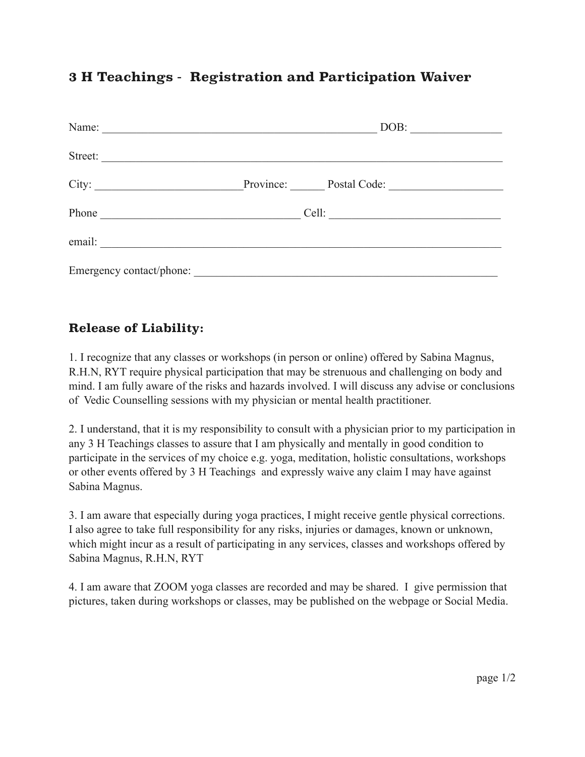### **3 H Teachings - Registration and Participation Waiver**

|                                                                                                                                                                                                                                      | DOB:                   |
|--------------------------------------------------------------------------------------------------------------------------------------------------------------------------------------------------------------------------------------|------------------------|
| Street:                                                                                                                                                                                                                              |                        |
|                                                                                                                                                                                                                                      | Province: Postal Code: |
| Phone <u>and the same of the same of the same of the same of the same of the same of the same of the same of the same of the same of the same of the same of the same of the same of the same of the same of the same of the sam</u> | Cell:                  |
| email:                                                                                                                                                                                                                               |                        |
| Emergency contact/phone:                                                                                                                                                                                                             |                        |

### **Release of Liability:**

1. I recognize that any classes or workshops (in person or online) offered by Sabina Magnus, R.H.N, RYT require physical participation that may be strenuous and challenging on body and mind. I am fully aware of the risks and hazards involved. I will discuss any advise or conclusions of Vedic Counselling sessions with my physician or mental health practitioner.

2. I understand, that it is my responsibility to consult with a physician prior to my participation in any 3 H Teachings classes to assure that I am physically and mentally in good condition to participate in the services of my choice e.g. yoga, meditation, holistic consultations, workshops or other events offered by 3 H Teachings and expressly waive any claim I may have against Sabina Magnus.

3. I am aware that especially during yoga practices, I might receive gentle physical corrections. I also agree to take full responsibility for any risks, injuries or damages, known or unknown, which might incur as a result of participating in any services, classes and workshops offered by Sabina Magnus, R.H.N, RYT

4. I am aware that ZOOM yoga classes are recorded and may be shared. I give permission that pictures, taken during workshops or classes, may be published on the webpage or Social Media.